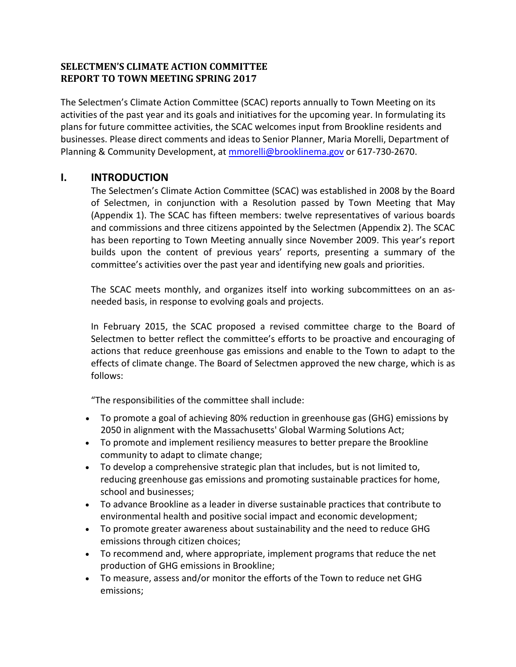## **SELECTMEN'S CLIMATE ACTION COMMITTEE REPORT TO TOWN MEETING SPRING 2017**

The Selectmen's Climate Action Committee (SCAC) reports annually to Town Meeting on its activities of the past year and its goals and initiatives for the upcoming year. In formulating its plans for future committee activities, the SCAC welcomes input from Brookline residents and businesses. Please direct comments and ideas to Senior Planner, Maria Morelli, Department of Planning & Community Development, at [mmorelli@brooklinema.gov](mailto:mmorelli@brooklinema.gov) or 617-730-2670.

# **I. INTRODUCTION**

The Selectmen's Climate Action Committee (SCAC) was established in 2008 by the Board of Selectmen, in conjunction with a Resolution passed by Town Meeting that May (Appendix 1). The SCAC has fifteen members: twelve representatives of various boards and commissions and three citizens appointed by the Selectmen (Appendix 2). The SCAC has been reporting to Town Meeting annually since November 2009. This year's report builds upon the content of previous years' reports, presenting a summary of the committee's activities over the past year and identifying new goals and priorities.

The SCAC meets monthly, and organizes itself into working subcommittees on an asneeded basis, in response to evolving goals and projects.

In February 2015, the SCAC proposed a revised committee charge to the Board of Selectmen to better reflect the committee's efforts to be proactive and encouraging of actions that reduce greenhouse gas emissions and enable to the Town to adapt to the effects of climate change. The Board of Selectmen approved the new charge, which is as follows:

"The responsibilities of the committee shall include:

- To promote a goal of achieving 80% reduction in greenhouse gas (GHG) emissions by 2050 in alignment with the Massachusetts' Global Warming Solutions Act;
- To promote and implement resiliency measures to better prepare the Brookline community to adapt to climate change;
- To develop a comprehensive strategic plan that includes, but is not limited to, reducing greenhouse gas emissions and promoting sustainable practices for home, school and businesses;
- To advance Brookline as a leader in diverse sustainable practices that contribute to environmental health and positive social impact and economic development;
- To promote greater awareness about sustainability and the need to reduce GHG emissions through citizen choices;
- To recommend and, where appropriate, implement programs that reduce the net production of GHG emissions in Brookline;
- To measure, assess and/or monitor the efforts of the Town to reduce net GHG emissions;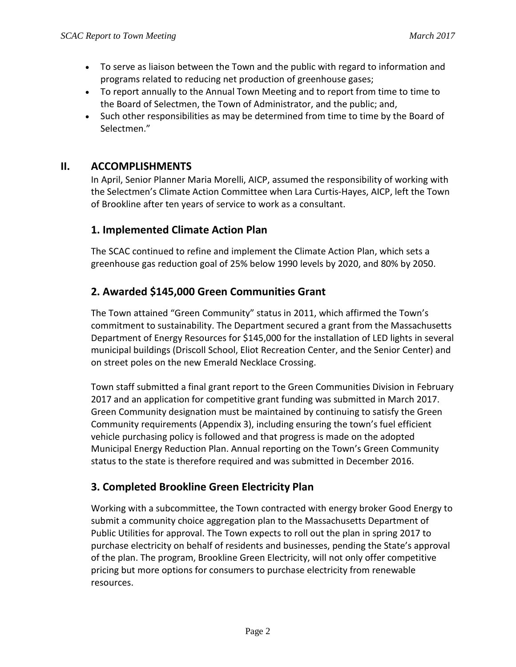- To serve as liaison between the Town and the public with regard to information and programs related to reducing net production of greenhouse gases;
- To report annually to the Annual Town Meeting and to report from time to time to the Board of Selectmen, the Town of Administrator, and the public; and,
- Such other responsibilities as may be determined from time to time by the Board of Selectmen."

# **II. ACCOMPLISHMENTS**

In April, Senior Planner Maria Morelli, AICP, assumed the responsibility of working with the Selectmen's Climate Action Committee when Lara Curtis-Hayes, AICP, left the Town of Brookline after ten years of service to work as a consultant.

# **1. Implemented Climate Action Plan**

The SCAC continued to refine and implement the Climate Action Plan, which sets a greenhouse gas reduction goal of 25% below 1990 levels by 2020, and 80% by 2050.

# **2. Awarded \$145,000 Green Communities Grant**

The Town attained "Green Community" status in 2011, which affirmed the Town's commitment to sustainability. The Department secured a grant from the Massachusetts Department of Energy Resources for \$145,000 for the installation of LED lights in several municipal buildings (Driscoll School, Eliot Recreation Center, and the Senior Center) and on street poles on the new Emerald Necklace Crossing.

Town staff submitted a final grant report to the Green Communities Division in February 2017 and an application for competitive grant funding was submitted in March 2017. Green Community designation must be maintained by continuing to satisfy the Green Community requirements (Appendix 3), including ensuring the town's fuel efficient vehicle purchasing policy is followed and that progress is made on the adopted Municipal Energy Reduction Plan. Annual reporting on the Town's Green Community status to the state is therefore required and was submitted in December 2016.

# **3. Completed Brookline Green Electricity Plan**

Working with a subcommittee, the Town contracted with energy broker Good Energy to submit a community choice aggregation plan to the Massachusetts Department of Public Utilities for approval. The Town expects to roll out the plan in spring 2017 to purchase electricity on behalf of residents and businesses, pending the State's approval of the plan. The program, Brookline Green Electricity, will not only offer competitive pricing but more options for consumers to purchase electricity from renewable resources.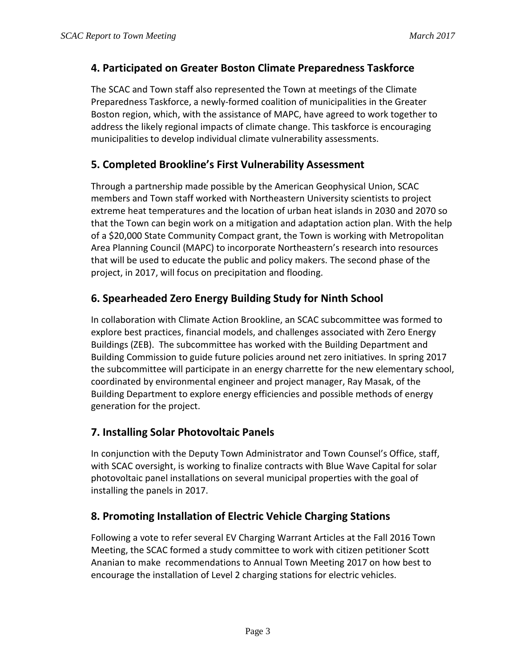# **4. Participated on Greater Boston Climate Preparedness Taskforce**

The SCAC and Town staff also represented the Town at meetings of the Climate Preparedness Taskforce, a newly-formed coalition of municipalities in the Greater Boston region, which, with the assistance of MAPC, have agreed to work together to address the likely regional impacts of climate change. This taskforce is encouraging municipalities to develop individual climate vulnerability assessments.

# **5. Completed Brookline's First Vulnerability Assessment**

Through a partnership made possible by the American Geophysical Union, SCAC members and Town staff worked with Northeastern University scientists to project extreme heat temperatures and the location of urban heat islands in 2030 and 2070 so that the Town can begin work on a mitigation and adaptation action plan. With the help of a \$20,000 State Community Compact grant, the Town is working with Metropolitan Area Planning Council (MAPC) to incorporate Northeastern's research into resources that will be used to educate the public and policy makers. The second phase of the project, in 2017, will focus on precipitation and flooding.

# **6. Spearheaded Zero Energy Building Study for Ninth School**

In collaboration with Climate Action Brookline, an SCAC subcommittee was formed to explore best practices, financial models, and challenges associated with Zero Energy Buildings (ZEB). The subcommittee has worked with the Building Department and Building Commission to guide future policies around net zero initiatives. In spring 2017 the subcommittee will participate in an energy charrette for the new elementary school, coordinated by environmental engineer and project manager, Ray Masak, of the Building Department to explore energy efficiencies and possible methods of energy generation for the project.

# **7. Installing Solar Photovoltaic Panels**

In conjunction with the Deputy Town Administrator and Town Counsel's Office, staff, with SCAC oversight, is working to finalize contracts with Blue Wave Capital for solar photovoltaic panel installations on several municipal properties with the goal of installing the panels in 2017.

# **8. Promoting Installation of Electric Vehicle Charging Stations**

Following a vote to refer several EV Charging Warrant Articles at the Fall 2016 Town Meeting, the SCAC formed a study committee to work with citizen petitioner Scott Ananian to make recommendations to Annual Town Meeting 2017 on how best to encourage the installation of Level 2 charging stations for electric vehicles.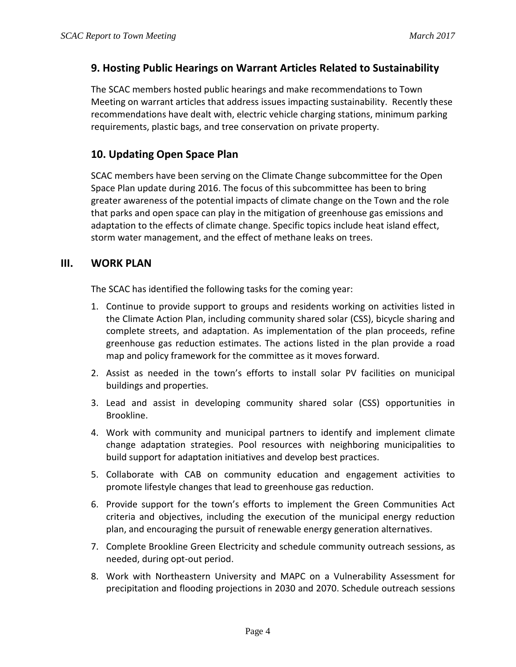## **9. Hosting Public Hearings on Warrant Articles Related to Sustainability**

The SCAC members hosted public hearings and make recommendations to Town Meeting on warrant articles that address issues impacting sustainability. Recently these recommendations have dealt with, electric vehicle charging stations, minimum parking requirements, plastic bags, and tree conservation on private property.

# **10. Updating Open Space Plan**

SCAC members have been serving on the Climate Change subcommittee for the Open Space Plan update during 2016. The focus of this subcommittee has been to bring greater awareness of the potential impacts of climate change on the Town and the role that parks and open space can play in the mitigation of greenhouse gas emissions and adaptation to the effects of climate change. Specific topics include heat island effect, storm water management, and the effect of methane leaks on trees.

## **III. WORK PLAN**

The SCAC has identified the following tasks for the coming year:

- 1. Continue to provide support to groups and residents working on activities listed in the Climate Action Plan, including community shared solar (CSS), bicycle sharing and complete streets, and adaptation. As implementation of the plan proceeds, refine greenhouse gas reduction estimates. The actions listed in the plan provide a road map and policy framework for the committee as it moves forward.
- 2. Assist as needed in the town's efforts to install solar PV facilities on municipal buildings and properties.
- 3. Lead and assist in developing community shared solar (CSS) opportunities in Brookline.
- 4. Work with community and municipal partners to identify and implement climate change adaptation strategies. Pool resources with neighboring municipalities to build support for adaptation initiatives and develop best practices.
- 5. Collaborate with CAB on community education and engagement activities to promote lifestyle changes that lead to greenhouse gas reduction.
- 6. Provide support for the town's efforts to implement the Green Communities Act criteria and objectives, including the execution of the municipal energy reduction plan, and encouraging the pursuit of renewable energy generation alternatives.
- 7. Complete Brookline Green Electricity and schedule community outreach sessions, as needed, during opt-out period.
- 8. Work with Northeastern University and MAPC on a Vulnerability Assessment for precipitation and flooding projections in 2030 and 2070. Schedule outreach sessions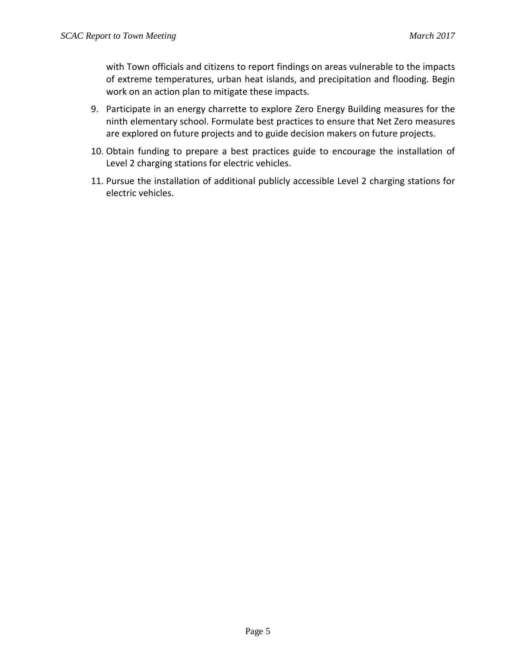with Town officials and citizens to report findings on areas vulnerable to the impacts of extreme temperatures, urban heat islands, and precipitation and flooding. Begin work on an action plan to mitigate these impacts.

- 9. Participate in an energy charrette to explore Zero Energy Building measures for the ninth elementary school. Formulate best practices to ensure that Net Zero measures are explored on future projects and to guide decision makers on future projects.
- 10. Obtain funding to prepare a best practices guide to encourage the installation of Level 2 charging stations for electric vehicles.
- 11. Pursue the installation of additional publicly accessible Level 2 charging stations for electric vehicles.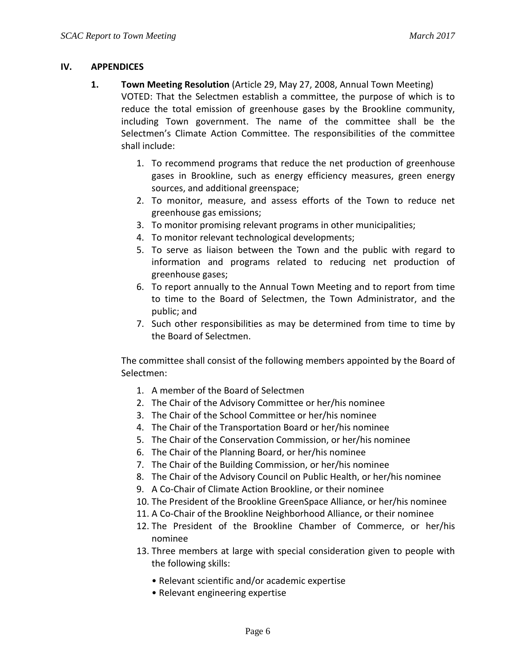## **IV. APPENDICES**

- **1. Town Meeting Resolution** (Article 29, May 27, 2008, Annual Town Meeting) VOTED: That the Selectmen establish a committee, the purpose of which is to reduce the total emission of greenhouse gases by the Brookline community, including Town government. The name of the committee shall be the Selectmen's Climate Action Committee. The responsibilities of the committee shall include:
	- 1. To recommend programs that reduce the net production of greenhouse gases in Brookline, such as energy efficiency measures, green energy sources, and additional greenspace;
	- 2. To monitor, measure, and assess efforts of the Town to reduce net greenhouse gas emissions;
	- 3. To monitor promising relevant programs in other municipalities;
	- 4. To monitor relevant technological developments;
	- 5. To serve as liaison between the Town and the public with regard to information and programs related to reducing net production of greenhouse gases;
	- 6. To report annually to the Annual Town Meeting and to report from time to time to the Board of Selectmen, the Town Administrator, and the public; and
	- 7. Such other responsibilities as may be determined from time to time by the Board of Selectmen.

The committee shall consist of the following members appointed by the Board of Selectmen:

- 1. A member of the Board of Selectmen
- 2. The Chair of the Advisory Committee or her/his nominee
- 3. The Chair of the School Committee or her/his nominee
- 4. The Chair of the Transportation Board or her/his nominee
- 5. The Chair of the Conservation Commission, or her/his nominee
- 6. The Chair of the Planning Board, or her/his nominee
- 7. The Chair of the Building Commission, or her/his nominee
- 8. The Chair of the Advisory Council on Public Health, or her/his nominee
- 9. A Co-Chair of Climate Action Brookline, or their nominee
- 10. The President of the Brookline GreenSpace Alliance, or her/his nominee
- 11. A Co-Chair of the Brookline Neighborhood Alliance, or their nominee
- 12. The President of the Brookline Chamber of Commerce, or her/his nominee
- 13. Three members at large with special consideration given to people with the following skills:
	- Relevant scientific and/or academic expertise
	- Relevant engineering expertise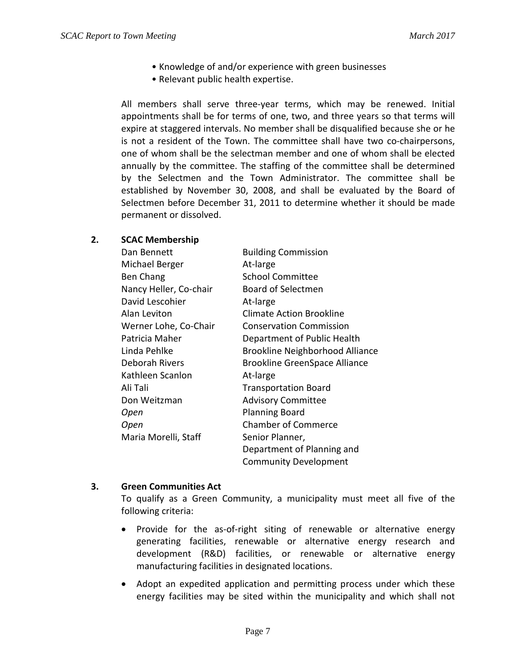- Knowledge of and/or experience with green businesses
- Relevant public health expertise.

All members shall serve three-year terms, which may be renewed. Initial appointments shall be for terms of one, two, and three years so that terms will expire at staggered intervals. No member shall be disqualified because she or he is not a resident of the Town. The committee shall have two co-chairpersons, one of whom shall be the selectman member and one of whom shall be elected annually by the committee. The staffing of the committee shall be determined by the Selectmen and the Town Administrator. The committee shall be established by November 30, 2008, and shall be evaluated by the Board of Selectmen before December 31, 2011 to determine whether it should be made permanent or dissolved.

### **2. SCAC Membership**

| Dan Bennett            | <b>Building Commission</b>             |
|------------------------|----------------------------------------|
| Michael Berger         | At-large                               |
| Ben Chang              | <b>School Committee</b>                |
| Nancy Heller, Co-chair | <b>Board of Selectmen</b>              |
| David Lescohier        | At-large                               |
| Alan Leviton           | <b>Climate Action Brookline</b>        |
| Werner Lohe, Co-Chair  | <b>Conservation Commission</b>         |
| Patricia Maher         | Department of Public Health            |
| Linda Pehlke           | <b>Brookline Neighborhood Alliance</b> |
| Deborah Rivers         | <b>Brookline GreenSpace Alliance</b>   |
| Kathleen Scanlon       | At-large                               |
| Ali Tali               | <b>Transportation Board</b>            |
| Don Weitzman           | <b>Advisory Committee</b>              |
| Open                   | <b>Planning Board</b>                  |
| Open                   | <b>Chamber of Commerce</b>             |
| Maria Morelli, Staff   | Senior Planner,                        |
|                        | Department of Planning and             |
|                        | <b>Community Development</b>           |

#### **3. Green Communities Act**

To qualify as a Green Community, a municipality must meet all five of the following criteria:

- Provide for the as-of-right siting of renewable or alternative energy generating facilities, renewable or alternative energy research and development (R&D) facilities, or renewable or alternative energy manufacturing facilities in designated locations.
- Adopt an expedited application and permitting process under which these energy facilities may be sited within the municipality and which shall not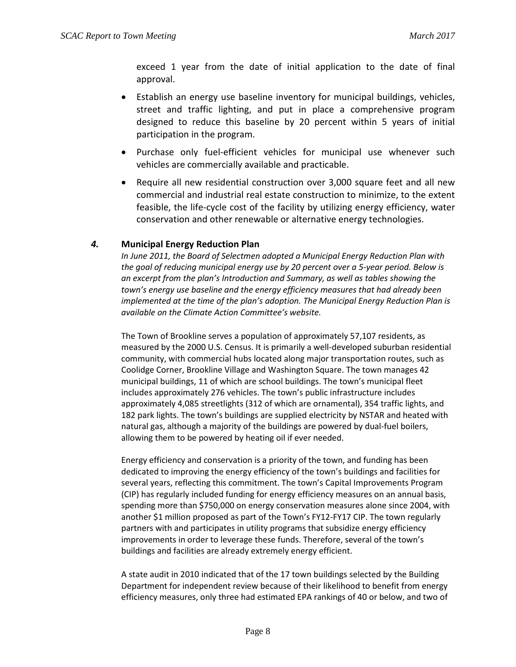exceed 1 year from the date of initial application to the date of final approval.

- Establish an energy use baseline inventory for municipal buildings, vehicles, street and traffic lighting, and put in place a comprehensive program designed to reduce this baseline by 20 percent within 5 years of initial participation in the program.
- Purchase only fuel-efficient vehicles for municipal use whenever such vehicles are commercially available and practicable.
- Require all new residential construction over 3,000 square feet and all new commercial and industrial real estate construction to minimize, to the extent feasible, the life-cycle cost of the facility by utilizing energy efficiency, water conservation and other renewable or alternative energy technologies.

### *4.* **Municipal Energy Reduction Plan**

*In June 2011, the Board of Selectmen adopted a Municipal Energy Reduction Plan with the goal of reducing municipal energy use by 20 percent over a 5-year period. Below is an excerpt from the plan's Introduction and Summary, as well as tables showing the town's energy use baseline and the energy efficiency measures that had already been implemented at the time of the plan's adoption. The Municipal Energy Reduction Plan is available on the Climate Action Committee's website.*

The Town of Brookline serves a population of approximately 57,107 residents, as measured by the 2000 U.S. Census. It is primarily a well-developed suburban residential community, with commercial hubs located along major transportation routes, such as Coolidge Corner, Brookline Village and Washington Square. The town manages 42 municipal buildings, 11 of which are school buildings. The town's municipal fleet includes approximately 276 vehicles. The town's public infrastructure includes approximately 4,085 streetlights (312 of which are ornamental), 354 traffic lights, and 182 park lights. The town's buildings are supplied electricity by NSTAR and heated with natural gas, although a majority of the buildings are powered by dual-fuel boilers, allowing them to be powered by heating oil if ever needed.

Energy efficiency and conservation is a priority of the town, and funding has been dedicated to improving the energy efficiency of the town's buildings and facilities for several years, reflecting this commitment. The town's Capital Improvements Program (CIP) has regularly included funding for energy efficiency measures on an annual basis, spending more than \$750,000 on energy conservation measures alone since 2004, with another \$1 million proposed as part of the Town's FY12-FY17 CIP. The town regularly partners with and participates in utility programs that subsidize energy efficiency improvements in order to leverage these funds. Therefore, several of the town's buildings and facilities are already extremely energy efficient.

A state audit in 2010 indicated that of the 17 town buildings selected by the Building Department for independent review because of their likelihood to benefit from energy efficiency measures, only three had estimated EPA rankings of 40 or below, and two of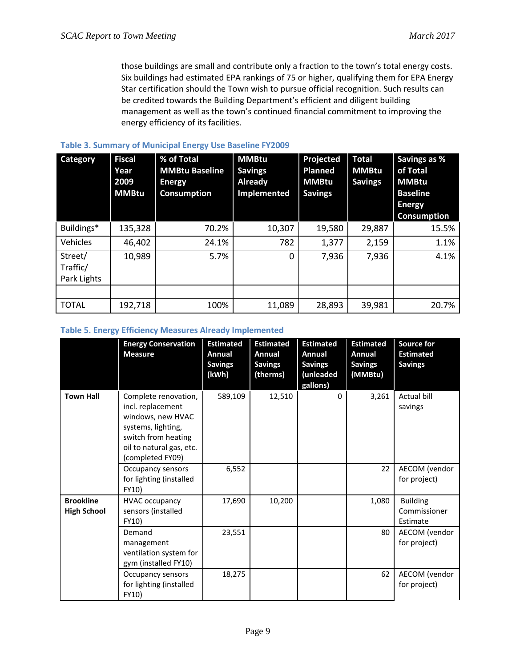those buildings are small and contribute only a fraction to the town's total energy costs. Six buildings had estimated EPA rankings of 75 or higher, qualifying them for EPA Energy Star certification should the Town wish to pursue official recognition. Such results can be credited towards the Building Department's efficient and diligent building management as well as the town's continued financial commitment to improving the energy efficiency of its facilities.

| <b>Category</b>                    | <b>Fiscal</b><br>Year<br>2009<br><b>MMBtu</b> | % of Total<br><b>MMBtu Baseline</b><br><b>Energy</b><br><b>Consumption</b> | <b>MMBtu</b><br><b>Savings</b><br>Already<br>Implemented | Projected<br><b>Planned</b><br><b>MMBtu</b><br><b>Savings</b> | <b>Total</b><br><b>MMBtu</b><br><b>Savings</b> | Savings as %<br>of Total<br><b>MMBtu</b><br><b>Baseline</b><br><b>Energy</b><br><b>Consumption</b> |
|------------------------------------|-----------------------------------------------|----------------------------------------------------------------------------|----------------------------------------------------------|---------------------------------------------------------------|------------------------------------------------|----------------------------------------------------------------------------------------------------|
| Buildings*                         | 135,328                                       | 70.2%                                                                      | 10,307                                                   | 19,580                                                        | 29,887                                         | 15.5%                                                                                              |
| Vehicles                           | 46,402                                        | 24.1%                                                                      | 782                                                      | 1,377                                                         | 2,159                                          | 1.1%                                                                                               |
| Street/<br>Traffic/<br>Park Lights | 10,989                                        | 5.7%                                                                       | $\Omega$                                                 | 7,936                                                         | 7,936                                          | 4.1%                                                                                               |
|                                    |                                               |                                                                            |                                                          |                                                               |                                                |                                                                                                    |
| <b>TOTAL</b>                       | 192,718                                       | 100%                                                                       | 11,089                                                   | 28,893                                                        | 39,981                                         | 20.7%                                                                                              |

#### **Table 3. Summary of Municipal Energy Use Baseline FY2009**

#### **Table 5. Energy Efficiency Measures Already Implemented**

|                                        | <b>Energy Conservation</b><br><b>Measure</b>                                                                                                                | <b>Estimated</b><br><b>Annual</b><br><b>Savings</b><br>(kWh) | <b>Estimated</b><br>Annual<br><b>Savings</b><br>(therms) | <b>Estimated</b><br><b>Annual</b><br><b>Savings</b><br>(unleaded<br>gallons) | <b>Estimated</b><br>Annual<br><b>Savings</b><br>(MMBtu) | <b>Source for</b><br><b>Estimated</b><br><b>Savings</b> |
|----------------------------------------|-------------------------------------------------------------------------------------------------------------------------------------------------------------|--------------------------------------------------------------|----------------------------------------------------------|------------------------------------------------------------------------------|---------------------------------------------------------|---------------------------------------------------------|
| <b>Town Hall</b>                       | Complete renovation,<br>incl. replacement<br>windows, new HVAC<br>systems, lighting,<br>switch from heating<br>oil to natural gas, etc.<br>(completed FY09) | 589,109                                                      | 12,510                                                   | $\mathbf{0}$                                                                 | 3,261                                                   | Actual bill<br>savings                                  |
|                                        | Occupancy sensors<br>for lighting (installed<br>FY10)                                                                                                       | 6,552                                                        |                                                          |                                                                              | 22                                                      | AECOM (vendor<br>for project)                           |
| <b>Brookline</b><br><b>High School</b> | <b>HVAC occupancy</b><br>sensors (installed<br><b>FY10)</b>                                                                                                 | 17,690                                                       | 10,200                                                   |                                                                              | 1,080                                                   | <b>Building</b><br>Commissioner<br>Estimate             |
|                                        | Demand<br>management<br>ventilation system for<br>gym (installed FY10)                                                                                      | 23,551                                                       |                                                          |                                                                              | 80                                                      | AECOM (vendor<br>for project)                           |
|                                        | Occupancy sensors<br>for lighting (installed<br>FY10)                                                                                                       | 18,275                                                       |                                                          |                                                                              | 62                                                      | AECOM (vendor<br>for project)                           |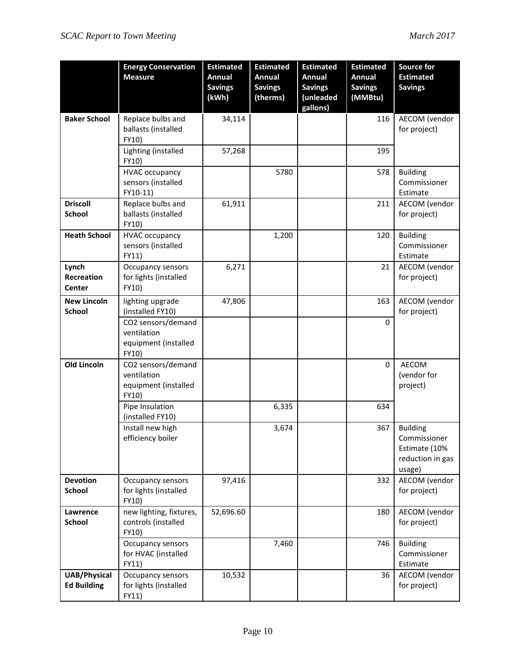|                                           | <b>Energy Conservation</b><br><b>Measure</b>                       | <b>Estimated</b><br><b>Annual</b><br><b>Savings</b><br>(kWh) | <b>Estimated</b><br>Annual<br><b>Savings</b><br>(therms) | <b>Estimated</b><br>Annual<br><b>Savings</b><br>(unleaded<br>gallons) | <b>Estimated</b><br><b>Annual</b><br><b>Savings</b><br>(MMBtu) | <b>Source for</b><br><b>Estimated</b><br><b>Savings</b>                        |
|-------------------------------------------|--------------------------------------------------------------------|--------------------------------------------------------------|----------------------------------------------------------|-----------------------------------------------------------------------|----------------------------------------------------------------|--------------------------------------------------------------------------------|
| <b>Baker School</b>                       | Replace bulbs and<br>ballasts (installed<br>FY10)                  | 34,114                                                       |                                                          |                                                                       | 116                                                            | AECOM (vendor<br>for project)                                                  |
|                                           | Lighting (installed<br>FY10)                                       | 57,268                                                       |                                                          |                                                                       | 195                                                            |                                                                                |
|                                           | <b>HVAC occupancy</b><br>sensors (installed<br>FY10-11)            |                                                              | 5780                                                     |                                                                       | 578                                                            | <b>Building</b><br>Commissioner<br>Estimate                                    |
| <b>Driscoll</b><br><b>School</b>          | Replace bulbs and<br>ballasts (installed<br>FY10)                  | 61,911                                                       |                                                          |                                                                       | 211                                                            | AECOM (vendor<br>for project)                                                  |
| <b>Heath School</b>                       | <b>HVAC occupancy</b><br>sensors (installed<br>FY11)               |                                                              | 1,200                                                    |                                                                       | 120                                                            | <b>Building</b><br>Commissioner<br>Estimate                                    |
| Lynch<br><b>Recreation</b><br>Center      | Occupancy sensors<br>for lights (installed<br>FY10)                | 6,271                                                        |                                                          |                                                                       | 21                                                             | AECOM (vendor<br>for project)                                                  |
| <b>New Lincoln</b><br><b>School</b>       | lighting upgrade<br>(installed FY10)                               | 47,806                                                       |                                                          |                                                                       | 163                                                            | AECOM (vendor<br>for project)                                                  |
|                                           | CO2 sensors/demand<br>ventilation<br>equipment (installed<br>FY10) |                                                              |                                                          |                                                                       | $\mathbf 0$                                                    |                                                                                |
| <b>Old Lincoln</b>                        | CO2 sensors/demand<br>ventilation<br>equipment (installed<br>FY10) |                                                              |                                                          |                                                                       | 0                                                              | AECOM<br>(vendor for<br>project)                                               |
|                                           | Pipe Insulation<br>(installed FY10)                                |                                                              | 6,335                                                    |                                                                       | 634                                                            |                                                                                |
|                                           | Install new high<br>efficiency boiler                              |                                                              | 3,674                                                    |                                                                       | 367                                                            | <b>Building</b><br>Commissioner<br>Estimate (10%<br>reduction in gas<br>usage) |
| <b>Devotion</b><br><b>School</b>          | Occupancy sensors<br>for lights (installed<br>FY10)                | 97,416                                                       |                                                          |                                                                       | 332                                                            | AECOM (vendor<br>for project)                                                  |
| Lawrence<br><b>School</b>                 | new lighting, fixtures,<br>controls (installed<br>FY10)            | 52,696.60                                                    |                                                          |                                                                       | 180                                                            | AECOM (vendor<br>for project)                                                  |
|                                           | Occupancy sensors<br>for HVAC (installed<br>FY11)                  |                                                              | 7,460                                                    |                                                                       | 746                                                            | <b>Building</b><br>Commissioner<br>Estimate                                    |
| <b>UAB/Physical</b><br><b>Ed Building</b> | Occupancy sensors<br>for lights (installed<br>FY11)                | 10,532                                                       |                                                          |                                                                       | 36                                                             | AECOM (vendor<br>for project)                                                  |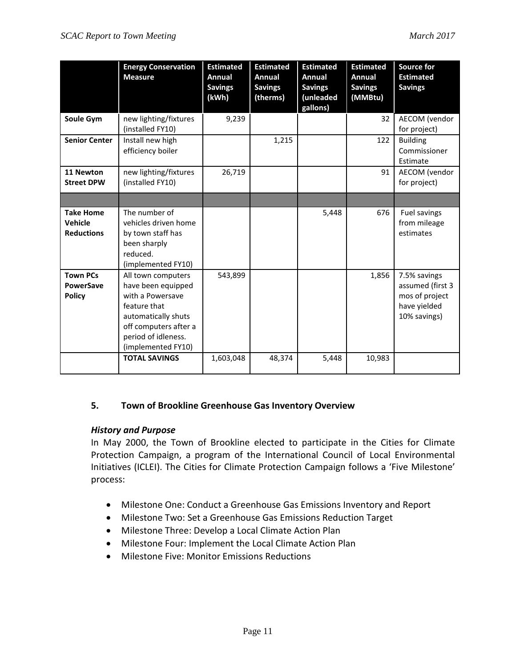|                                                      | <b>Energy Conservation</b><br><b>Measure</b>                                                                                                                              | <b>Estimated</b><br>Annual<br><b>Savings</b><br>(kWh) | <b>Estimated</b><br>Annual<br><b>Savings</b><br>(therms) | <b>Estimated</b><br>Annual<br><b>Savings</b><br>(unleaded<br>gallons) | <b>Estimated</b><br>Annual<br><b>Savings</b><br>(MMBtu) | <b>Source for</b><br><b>Estimated</b><br><b>Savings</b>                            |
|------------------------------------------------------|---------------------------------------------------------------------------------------------------------------------------------------------------------------------------|-------------------------------------------------------|----------------------------------------------------------|-----------------------------------------------------------------------|---------------------------------------------------------|------------------------------------------------------------------------------------|
| Soule Gym                                            | new lighting/fixtures<br>(installed FY10)                                                                                                                                 | 9,239                                                 |                                                          |                                                                       | 32                                                      | AECOM (vendor<br>for project)                                                      |
| <b>Senior Center</b>                                 | Install new high<br>efficiency boiler                                                                                                                                     |                                                       | 1,215                                                    |                                                                       | 122                                                     | <b>Building</b><br>Commissioner<br>Estimate                                        |
| 11 Newton<br><b>Street DPW</b>                       | new lighting/fixtures<br>(installed FY10)                                                                                                                                 | 26,719                                                |                                                          |                                                                       | 91                                                      | AECOM (vendor<br>for project)                                                      |
|                                                      |                                                                                                                                                                           |                                                       |                                                          |                                                                       |                                                         |                                                                                    |
| <b>Take Home</b><br>Vehicle<br><b>Reductions</b>     | The number of<br>vehicles driven home<br>by town staff has<br>been sharply<br>reduced.<br>(implemented FY10)                                                              |                                                       |                                                          | 5,448                                                                 | 676                                                     | Fuel savings<br>from mileage<br>estimates                                          |
| <b>Town PCs</b><br><b>PowerSave</b><br><b>Policy</b> | All town computers<br>have been equipped<br>with a Powersave<br>feature that<br>automatically shuts<br>off computers after a<br>period of idleness.<br>(implemented FY10) | 543,899                                               |                                                          |                                                                       | 1,856                                                   | 7.5% savings<br>assumed (first 3<br>mos of project<br>have yielded<br>10% savings) |
|                                                      | <b>TOTAL SAVINGS</b>                                                                                                                                                      | 1,603,048                                             | 48,374                                                   | 5,448                                                                 | 10,983                                                  |                                                                                    |

## **5. Town of Brookline Greenhouse Gas Inventory Overview**

## *History and Purpose*

In May 2000, the Town of Brookline elected to participate in the Cities for Climate Protection Campaign, a program of the International Council of Local Environmental Initiatives (ICLEI). The Cities for Climate Protection Campaign follows a 'Five Milestone' process:

- Milestone One: Conduct a Greenhouse Gas Emissions Inventory and Report
- Milestone Two: Set a Greenhouse Gas Emissions Reduction Target
- Milestone Three: Develop a Local Climate Action Plan
- Milestone Four: Implement the Local Climate Action Plan
- Milestone Five: Monitor Emissions Reductions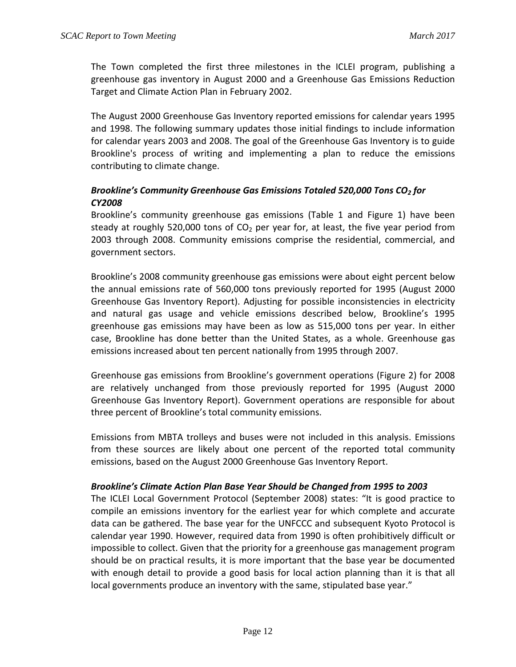The Town completed the first three milestones in the ICLEI program, publishing a greenhouse gas inventory in August 2000 and a Greenhouse Gas Emissions Reduction Target and Climate Action Plan in February 2002.

The August 2000 Greenhouse Gas Inventory reported emissions for calendar years 1995 and 1998. The following summary updates those initial findings to include information for calendar years 2003 and 2008. The goal of the Greenhouse Gas Inventory is to guide Brookline's process of writing and implementing a plan to reduce the emissions contributing to climate change.

## *Brookline's Community Greenhouse Gas Emissions Totaled 520,000 Tons CO2 for CY2008*

Brookline's community greenhouse gas emissions (Table 1 and Figure 1) have been steady at roughly 520,000 tons of  $CO<sub>2</sub>$  per year for, at least, the five year period from 2003 through 2008. Community emissions comprise the residential, commercial, and government sectors.

Brookline's 2008 community greenhouse gas emissions were about eight percent below the annual emissions rate of 560,000 tons previously reported for 1995 (August 2000 Greenhouse Gas Inventory Report). Adjusting for possible inconsistencies in electricity and natural gas usage and vehicle emissions described below, Brookline's 1995 greenhouse gas emissions may have been as low as 515,000 tons per year. In either case, Brookline has done better than the United States, as a whole. Greenhouse gas emissions increased about ten percent nationally from 1995 through 2007.

Greenhouse gas emissions from Brookline's government operations (Figure 2) for 2008 are relatively unchanged from those previously reported for 1995 (August 2000 Greenhouse Gas Inventory Report). Government operations are responsible for about three percent of Brookline's total community emissions.

Emissions from MBTA trolleys and buses were not included in this analysis. Emissions from these sources are likely about one percent of the reported total community emissions, based on the August 2000 Greenhouse Gas Inventory Report.

## *Brookline's Climate Action Plan Base Year Should be Changed from 1995 to 2003*

The ICLEI Local Government Protocol (September 2008) states: "It is good practice to compile an emissions inventory for the earliest year for which complete and accurate data can be gathered. The base year for the UNFCCC and subsequent Kyoto Protocol is calendar year 1990. However, required data from 1990 is often prohibitively difficult or impossible to collect. Given that the priority for a greenhouse gas management program should be on practical results, it is more important that the base year be documented with enough detail to provide a good basis for local action planning than it is that all local governments produce an inventory with the same, stipulated base year."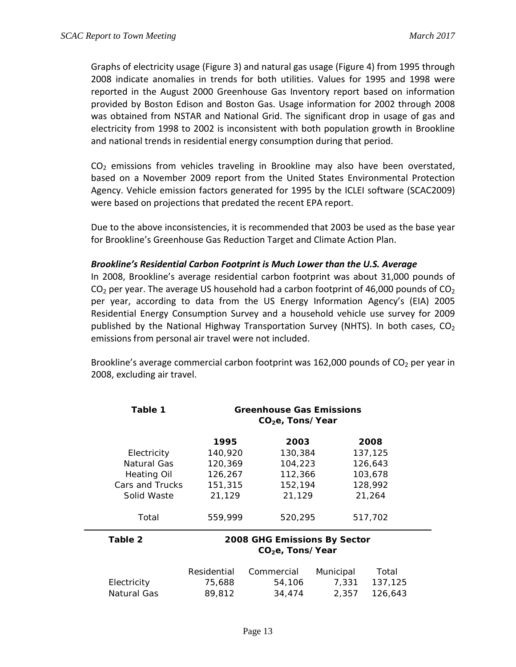Graphs of electricity usage (Figure 3) and natural gas usage (Figure 4) from 1995 through 2008 indicate anomalies in trends for both utilities. Values for 1995 and 1998 were reported in the August 2000 Greenhouse Gas Inventory report based on information provided by Boston Edison and Boston Gas. Usage information for 2002 through 2008 was obtained from NSTAR and National Grid. The significant drop in usage of gas and electricity from 1998 to 2002 is inconsistent with both population growth in Brookline and national trends in residential energy consumption during that period.

 $CO<sub>2</sub>$  emissions from vehicles traveling in Brookline may also have been overstated, based on a November 2009 report from the United States Environmental Protection Agency. Vehicle emission factors generated for 1995 by the ICLEI software (SCAC2009) were based on projections that predated the recent EPA report.

Due to the above inconsistencies, it is recommended that 2003 be used as the base year for Brookline's Greenhouse Gas Reduction Target and Climate Action Plan.

#### *Brookline's Residential Carbon Footprint is Much Lower than the U.S. Average*

In 2008, Brookline's average residential carbon footprint was about 31,000 pounds of CO<sub>2</sub> per year. The average US household had a carbon footprint of 46,000 pounds of CO<sub>2</sub> per year, according to data from the US Energy Information Agency's (EIA) 2005 Residential Energy Consumption Survey and a household vehicle use survey for 2009 published by the National Highway Transportation Survey (NHTS). In both cases,  $CO<sub>2</sub>$ emissions from personal air travel were not included.

Brookline's average commercial carbon footprint was 162,000 pounds of  $CO<sub>2</sub>$  per year in 2008, excluding air travel.

| Table 1            | <b>Greenhouse Gas Emissions</b><br>$CO2e$ , Tons/Year        |            |           |         |  |
|--------------------|--------------------------------------------------------------|------------|-----------|---------|--|
|                    | 1995                                                         | 2003       |           | 2008    |  |
| Electricity        | 140,920                                                      | 130,384    |           | 137,125 |  |
| Natural Gas        | 120,369                                                      | 104,223    |           | 126,643 |  |
| <b>Heating Oil</b> | 126,267                                                      | 112,366    |           | 103,678 |  |
| Cars and Trucks    | 151,315                                                      | 152,194    |           | 128,992 |  |
| Solid Waste        | 21,129                                                       | 21,129     |           | 21,264  |  |
| Total              | 559,999                                                      | 520,295    |           | 517,702 |  |
| Table 2            | 2008 GHG Emissions By Sector<br>CO <sub>2</sub> e, Tons/Year |            |           |         |  |
|                    |                                                              |            |           |         |  |
|                    | Residential                                                  | Commercial | Municipal | Total   |  |
| Electricity        | 75,688                                                       | 54,106     | 7,331     | 137,125 |  |
| Natural Gas        | 89,812                                                       | 34,474     | 2,357     | 126,643 |  |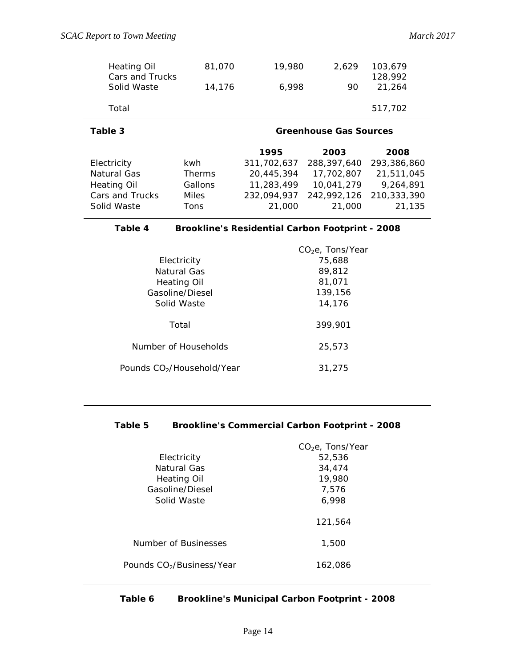| <b>Heating Oil</b><br>Cars and Trucks<br>Solid Waste | 81,070<br>14.176 | 19,980<br>6.998 | 2.629<br>90 | 103.679<br>128,992<br>21,264 |  |
|------------------------------------------------------|------------------|-----------------|-------------|------------------------------|--|
| Total                                                |                  |                 |             | 517,702                      |  |

## **Table 3 Greenhouse Gas Sources**

|                    |               | 1995        | 2003        | 2008        |
|--------------------|---------------|-------------|-------------|-------------|
| Electricity        | kwh.          | 311,702,637 | 288,397,640 | 293,386,860 |
| Natural Gas        | <b>Therms</b> | 20,445,394  | 17,702,807  | 21,511,045  |
| <b>Heating Oil</b> | Gallons       | 11,283,499  | 10,041,279  | 9,264,891   |
| Cars and Trucks    | Miles         | 232.094.937 | 242,992,126 | 210,333,390 |
| Solid Waste        | <b>Tons</b>   | 21,000      | 21,000      | 21,135      |

## **Table 4 Brookline's Residential Carbon Footprint - 2008**

|                                        | $CO2e$ , Tons/Year |
|----------------------------------------|--------------------|
| Electricity                            | 75,688             |
| Natural Gas                            | 89,812             |
| Heating Oil                            | 81,071             |
| Gasoline/Diesel                        | 139,156            |
| Solid Waste                            | 14,176             |
| Total                                  | 399,901            |
| Number of Households                   | 25,573             |
| Pounds CO <sub>2</sub> /Household/Year | 31,275             |
|                                        |                    |

### **Table 5 Brookline's Commercial Carbon Footprint - 2008**

|                                       | $CO2e$ , Tons/Year |
|---------------------------------------|--------------------|
| Electricity                           | 52,536             |
| Natural Gas                           | 34,474             |
| Heating Oil                           | 19,980             |
| Gasoline/Diesel                       | 7,576              |
| Solid Waste                           | 6,998              |
|                                       | 121,564            |
| Number of Businesses                  | 1,500              |
| Pounds CO <sub>2</sub> /Business/Year | 162.086            |

## **Table 6 Brookline's Municipal Carbon Footprint - 2008**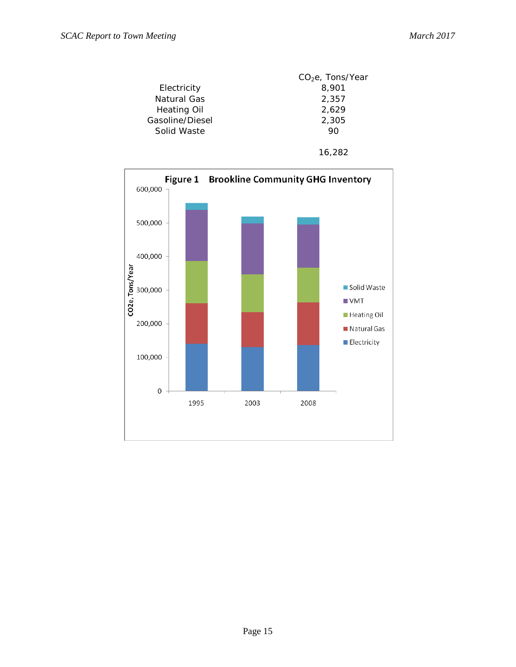



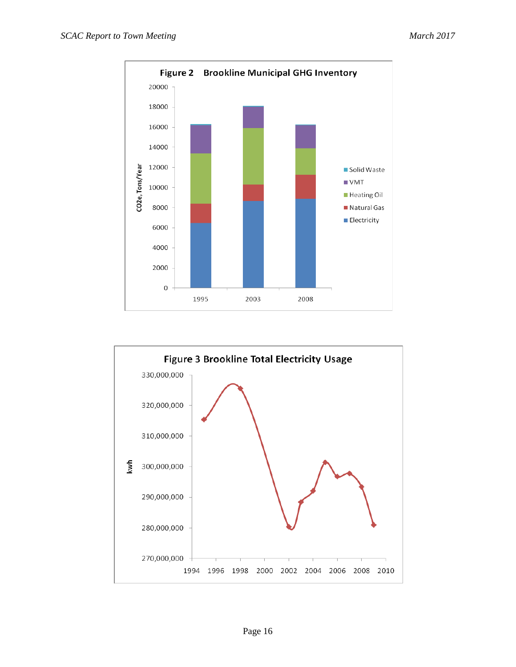